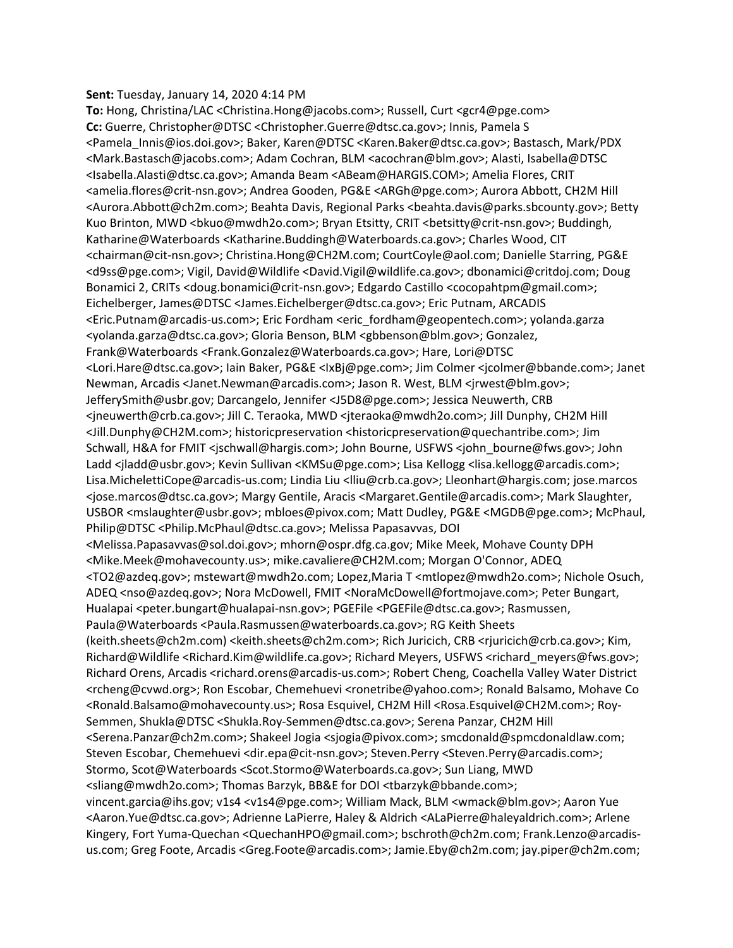## **Sent:** Tuesday, January 14, 2020 4:14 PM

**To:** Hong, Christina/LAC <Christina.Hong@jacobs.com>; Russell, Curt <gcr4@pge.com> **Cc:** Guerre, Christopher@DTSC <Christopher.Guerre@dtsc.ca.gov>; Innis, Pamela S <Pamela\_Innis@ios.doi.gov>; Baker, Karen@DTSC <Karen.Baker@dtsc.ca.gov>; Bastasch, Mark/PDX <Mark.Bastasch@jacobs.com>; Adam Cochran, BLM <acochran@blm.gov>; Alasti, Isabella@DTSC <Isabella.Alasti@dtsc.ca.gov>; Amanda Beam <ABeam@HARGIS.COM>; Amelia Flores, CRIT <amelia.flores@crit‐nsn.gov>; Andrea Gooden, PG&E <ARGh@pge.com>; Aurora Abbott, CH2M Hill <Aurora.Abbott@ch2m.com>; Beahta Davis, Regional Parks <beahta.davis@parks.sbcounty.gov>; Betty Kuo Brinton, MWD <bkuo@mwdh2o.com>; Bryan Etsitty, CRIT <br/>betsitty@crit-nsn.gov>; Buddingh, Katharine@Waterboards <Katharine.Buddingh@Waterboards.ca.gov>; Charles Wood, CIT <chairman@cit‐nsn.gov>; Christina.Hong@CH2M.com; CourtCoyle@aol.com; Danielle Starring, PG&E <d9ss@pge.com>; Vigil, David@Wildlife <David.Vigil@wildlife.ca.gov>; dbonamici@critdoj.com; Doug Bonamici 2, CRITs <doug.bonamici@crit‐nsn.gov>; Edgardo Castillo <cocopahtpm@gmail.com>; Eichelberger, James@DTSC <James.Eichelberger@dtsc.ca.gov>; Eric Putnam, ARCADIS <Eric.Putnam@arcadis‐us.com>; Eric Fordham <eric\_fordham@geopentech.com>; yolanda.garza <yolanda.garza@dtsc.ca.gov>; Gloria Benson, BLM <gbbenson@blm.gov>; Gonzalez, Frank@Waterboards <Frank.Gonzalez@Waterboards.ca.gov>; Hare, Lori@DTSC <Lori.Hare@dtsc.ca.gov>; Iain Baker, PG&E <IxBj@pge.com>; Jim Colmer <jcolmer@bbande.com>; Janet Newman, Arcadis <Janet.Newman@arcadis.com>; Jason R. West, BLM <jrwest@blm.gov>; JefferySmith@usbr.gov; Darcangelo, Jennifer <J5D8@pge.com>; Jessica Neuwerth, CRB <jneuwerth@crb.ca.gov>; Jill C. Teraoka, MWD <jteraoka@mwdh2o.com>; Jill Dunphy, CH2M Hill <Jill.Dunphy@CH2M.com>; historicpreservation <historicpreservation@quechantribe.com>; Jim Schwall, H&A for FMIT <jschwall@hargis.com>; John Bourne, USFWS <john\_bourne@fws.gov>; John Ladd <iladd@usbr.gov>; Kevin Sullivan <KMSu@pge.com>; Lisa Kellogg <lisa.kellogg@arcadis.com>; Lisa.MichelettiCope@arcadis‐us.com; Lindia Liu <lliu@crb.ca.gov>; Lleonhart@hargis.com; jose.marcos <jose.marcos@dtsc.ca.gov>; Margy Gentile, Aracis <Margaret.Gentile@arcadis.com>; Mark Slaughter, USBOR <mslaughter@usbr.gov>; mbloes@pivox.com; Matt Dudley, PG&E <MGDB@pge.com>; McPhaul, Philip@DTSC <Philip.McPhaul@dtsc.ca.gov>; Melissa Papasavvas, DOI <Melissa.Papasavvas@sol.doi.gov>; mhorn@ospr.dfg.ca.gov; Mike Meek, Mohave County DPH <Mike.Meek@mohavecounty.us>; mike.cavaliere@CH2M.com; Morgan O'Connor, ADEQ <TO2@azdeq.gov>; mstewart@mwdh2o.com; Lopez,Maria T <mtlopez@mwdh2o.com>; Nichole Osuch, ADEQ <nso@azdeq.gov>; Nora McDowell, FMIT <NoraMcDowell@fortmojave.com>; Peter Bungart, Hualapai <peter.bungart@hualapai‐nsn.gov>; PGEFile <PGEFile@dtsc.ca.gov>; Rasmussen, Paula@Waterboards <Paula.Rasmussen@waterboards.ca.gov>; RG Keith Sheets (keith.sheets@ch2m.com) <keith.sheets@ch2m.com>; Rich Juricich, CRB <rjuricich@crb.ca.gov>; Kim, Richard@Wildlife <Richard.Kim@wildlife.ca.gov>; Richard Meyers, USFWS <richard\_meyers@fws.gov>; Richard Orens, Arcadis <richard.orens@arcadis‐us.com>; Robert Cheng, Coachella Valley Water District <rcheng@cvwd.org>; Ron Escobar, Chemehuevi <ronetribe@yahoo.com>; Ronald Balsamo, Mohave Co <Ronald.Balsamo@mohavecounty.us>; Rosa Esquivel, CH2M Hill <Rosa.Esquivel@CH2M.com>; Roy‐ Semmen, Shukla@DTSC <Shukla.Roy‐Semmen@dtsc.ca.gov>; Serena Panzar, CH2M Hill <Serena.Panzar@ch2m.com>; Shakeel Jogia <sjogia@pivox.com>; smcdonald@spmcdonaldlaw.com; Steven Escobar, Chemehuevi <dir.epa@cit-nsn.gov>; Steven.Perry <Steven.Perry@arcadis.com>; Stormo, Scot@Waterboards <Scot.Stormo@Waterboards.ca.gov>; Sun Liang, MWD <sliang@mwdh2o.com>; Thomas Barzyk, BB&E for DOI <tbarzyk@bbande.com>; vincent.garcia@ihs.gov; v1s4 <v1s4@pge.com>; William Mack, BLM <wmack@blm.gov>; Aaron Yue <Aaron.Yue@dtsc.ca.gov>; Adrienne LaPierre, Haley & Aldrich <ALaPierre@haleyaldrich.com>; Arlene Kingery, Fort Yuma-Quechan < QuechanHPO@gmail.com>; bschroth@ch2m.com; Frank.Lenzo@arcadisus.com; Greg Foote, Arcadis <Greg.Foote@arcadis.com>; Jamie.Eby@ch2m.com; jay.piper@ch2m.com;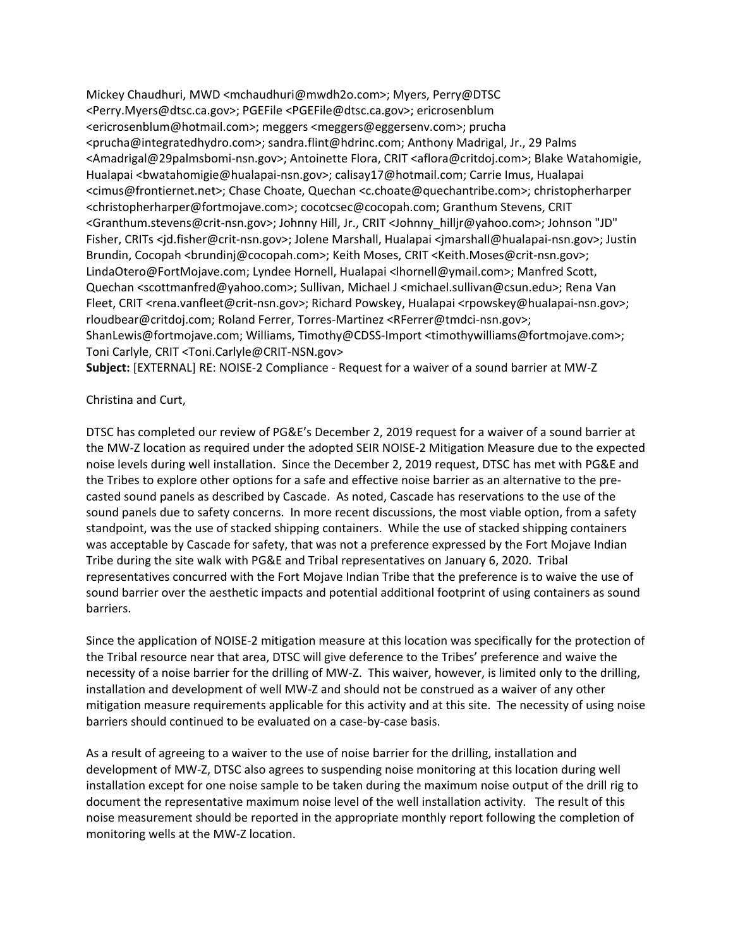Mickey Chaudhuri, MWD <mchaudhuri@mwdh2o.com>; Myers, Perry@DTSC <Perry.Myers@dtsc.ca.gov>; PGEFile <PGEFile@dtsc.ca.gov>; ericrosenblum <ericrosenblum@hotmail.com>; meggers <meggers@eggersenv.com>; prucha <prucha@integratedhydro.com>; sandra.flint@hdrinc.com; Anthony Madrigal, Jr., 29 Palms <Amadrigal@29palmsbomi‐nsn.gov>; Antoinette Flora, CRIT <aflora@critdoj.com>; Blake Watahomigie, Hualapai <bwatahomigie@hualapai-nsn.gov>; calisay17@hotmail.com; Carrie Imus, Hualapai <cimus@frontiernet.net>; Chase Choate, Quechan <c.choate@quechantribe.com>; christopherharper <christopherharper@fortmojave.com>; cocotcsec@cocopah.com; Granthum Stevens, CRIT <Granthum.stevens@crit‐nsn.gov>; Johnny Hill, Jr., CRIT <Johnny\_hilljr@yahoo.com>; Johnson "JD" Fisher, CRITs <jd.fisher@crit‐nsn.gov>; Jolene Marshall, Hualapai <jmarshall@hualapai‐nsn.gov>; Justin Brundin, Cocopah <br/> <br/> //>  $\leq$  Cocopah.com>; Keith Moses, CRIT <<br/>Keith.Moses@crit-nsn.gov>; LindaOtero@FortMojave.com; Lyndee Hornell, Hualapai <lhornell@ymail.com>; Manfred Scott, Quechan <scottmanfred@yahoo.com>; Sullivan, Michael J <michael.sullivan@csun.edu>; Rena Van Fleet, CRIT <rena.vanfleet@crit‐nsn.gov>; Richard Powskey, Hualapai <rpowskey@hualapai‐nsn.gov>; rloudbear@critdoj.com; Roland Ferrer, Torres‐Martinez <RFerrer@tmdci‐nsn.gov>; ShanLewis@fortmojave.com; Williams, Timothy@CDSS‐Import <timothywilliams@fortmojave.com>; Toni Carlyle, CRIT <Toni.Carlyle@CRIT‐NSN.gov>

**Subject:** [EXTERNAL] RE: NOISE‐2 Compliance ‐ Request for a waiver of a sound barrier at MW‐Z

## Christina and Curt,

DTSC has completed our review of PG&E's December 2, 2019 request for a waiver of a sound barrier at the MW‐Z location as required under the adopted SEIR NOISE‐2 Mitigation Measure due to the expected noise levels during well installation. Since the December 2, 2019 request, DTSC has met with PG&E and the Tribes to explore other options for a safe and effective noise barrier as an alternative to the pre‐ casted sound panels as described by Cascade. As noted, Cascade has reservations to the use of the sound panels due to safety concerns. In more recent discussions, the most viable option, from a safety standpoint, was the use of stacked shipping containers. While the use of stacked shipping containers was acceptable by Cascade for safety, that was not a preference expressed by the Fort Mojave Indian Tribe during the site walk with PG&E and Tribal representatives on January 6, 2020. Tribal representatives concurred with the Fort Mojave Indian Tribe that the preference is to waive the use of sound barrier over the aesthetic impacts and potential additional footprint of using containers as sound barriers.

Since the application of NOISE‐2 mitigation measure at this location was specifically for the protection of the Tribal resource near that area, DTSC will give deference to the Tribes' preference and waive the necessity of a noise barrier for the drilling of MW‐Z. This waiver, however, is limited only to the drilling, installation and development of well MW‐Z and should not be construed as a waiver of any other mitigation measure requirements applicable for this activity and at this site. The necessity of using noise barriers should continued to be evaluated on a case‐by‐case basis.

As a result of agreeing to a waiver to the use of noise barrier for the drilling, installation and development of MW‐Z, DTSC also agrees to suspending noise monitoring at this location during well installation except for one noise sample to be taken during the maximum noise output of the drill rig to document the representative maximum noise level of the well installation activity. The result of this noise measurement should be reported in the appropriate monthly report following the completion of monitoring wells at the MW‐Z location.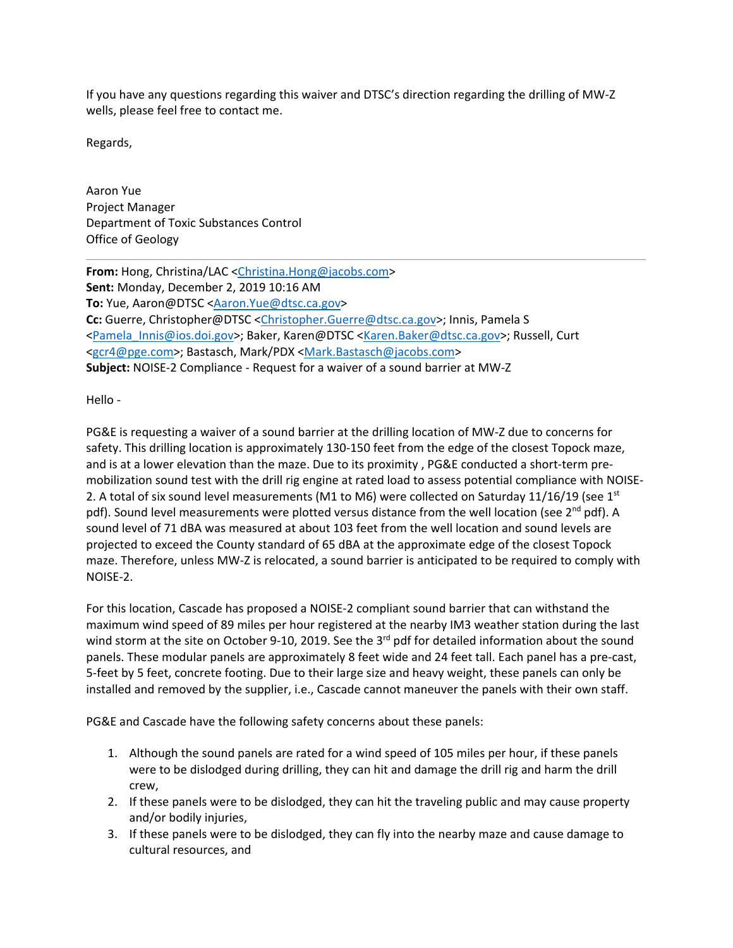If you have any questions regarding this waiver and DTSC's direction regarding the drilling of MW‐Z wells, please feel free to contact me.

Regards,

Aaron Yue Project Manager Department of Toxic Substances Control Office of Geology

**From:** Hong, Christina/LAC <Christina.Hong@jacobs.com> **Sent:** Monday, December 2, 2019 10:16 AM **To:** Yue, Aaron@DTSC <Aaron.Yue@dtsc.ca.gov> **Cc:** Guerre, Christopher@DTSC <Christopher.Guerre@dtsc.ca.gov>; Innis, Pamela S <Pamela\_Innis@ios.doi.gov>; Baker, Karen@DTSC <Karen.Baker@dtsc.ca.gov>; Russell, Curt <gcr4@pge.com>; Bastasch, Mark/PDX <Mark.Bastasch@jacobs.com> **Subject:** NOISE‐2 Compliance ‐ Request for a waiver of a sound barrier at MW‐Z

Hello ‐

PG&E is requesting a waiver of a sound barrier at the drilling location of MW‐Z due to concerns for safety. This drilling location is approximately 130‐150 feet from the edge of the closest Topock maze, and is at a lower elevation than the maze. Due to its proximity, PG&E conducted a short-term premobilization sound test with the drill rig engine at rated load to assess potential compliance with NOISE‐ 2. A total of six sound level measurements (M1 to M6) were collected on Saturday 11/16/19 (see  $1<sup>st</sup>$ pdf). Sound level measurements were plotted versus distance from the well location (see 2<sup>nd</sup> pdf). A sound level of 71 dBA was measured at about 103 feet from the well location and sound levels are projected to exceed the County standard of 65 dBA at the approximate edge of the closest Topock maze. Therefore, unless MW‐Z is relocated, a sound barrier is anticipated to be required to comply with NOISE‐2.

For this location, Cascade has proposed a NOISE‐2 compliant sound barrier that can withstand the maximum wind speed of 89 miles per hour registered at the nearby IM3 weather station during the last wind storm at the site on October 9-10, 2019. See the 3<sup>rd</sup> pdf for detailed information about the sound panels. These modular panels are approximately 8 feet wide and 24 feet tall. Each panel has a pre‐cast, 5‐feet by 5 feet, concrete footing. Due to their large size and heavy weight, these panels can only be installed and removed by the supplier, i.e., Cascade cannot maneuver the panels with their own staff.

PG&E and Cascade have the following safety concerns about these panels:

- 1. Although the sound panels are rated for a wind speed of 105 miles per hour, if these panels were to be dislodged during drilling, they can hit and damage the drill rig and harm the drill crew,
- 2. If these panels were to be dislodged, they can hit the traveling public and may cause property and/or bodily injuries,
- 3. If these panels were to be dislodged, they can fly into the nearby maze and cause damage to cultural resources, and